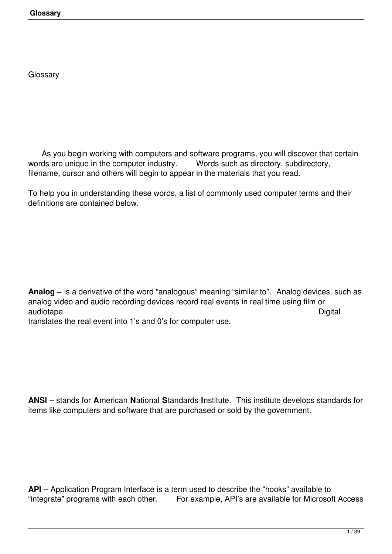**Glossary**

**Glossary** 

As you begin working with computers and software programs, you will discover that certain<br>ds are unique in the computer industry. Words such as directory, subdirectory, words are unique in the computer industry. filename, cursor and others will begin to appear in the materials that you read.

To help you in understanding these words, a list of commonly used computer terms and their definitions are contained below.

**Analog –** is a derivative of the word "analogous" meaning "similar to". Analog devices, such as analog video and audio recording devices record real events in real time using film or audiotape. Digital

translates the real event into 1's and 0's for computer use.

**ANSI** – stands for **A**merican **N**ational **S**tandards **I**nstitute. This institute develops standards for items like computers and software that are purchased or sold by the government.

**API** – Application Program Interface is a term used to describe the "hooks" available to "integrate" programs with each other. For example, API's are available for Microso For example, API's are available for Microsoft Access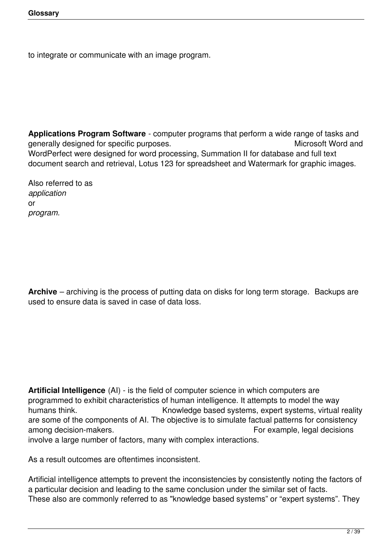to integrate or communicate with an image program.

**Applications Program Software** - computer programs that perform a wide range of tasks and generally designed for specific purposes. **Solution 1998** Microsoft Word and WordPerfect were designed for word processing, Summation II for database and full text document search and retrieval, Lotus 123 for spreadsheet and Watermark for graphic images.

Also referred to as *application* or *program.*

**Archive** – archiving is the process of putting data on disks for long term storage. Backups are used to ensure data is saved in case of data loss.

**Artificial Intelligence** (AI) - is the field of computer science in which computers are programmed to exhibit characteristics of human intelligence. It attempts to model the way humans think. *Knowledge based systems, expert systems, virtual reality* are some of the components of AI. The objective is to simulate factual patterns for consistency among decision-makers.  $\blacksquare$ involve a large number of factors, many with complex interactions.

As a result outcomes are oftentimes inconsistent.

Artificial intelligence attempts to prevent the inconsistencies by consistently noting the factors of a particular decision and leading to the same conclusion under the similar set of facts. These also are commonly referred to as "knowledge based systems" or "expert systems". They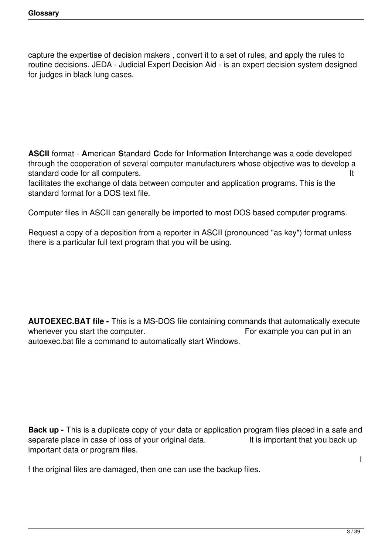capture the expertise of decision makers , convert it to a set of rules, and apply the rules to routine decisions. JEDA - Judicial Expert Decision Aid - is an expert decision system designed for judges in black lung cases.

**ASCII** format - **A**merican **S**tandard **C**ode for **I**nformation **I**nterchange was a code developed through the cooperation of several computer manufacturers whose objective was to develop a standard code for all computers.

facilitates the exchange of data between computer and application programs. This is the standard format for a DOS text file.

Computer files in ASCII can generally be imported to most DOS based computer programs.

Request a copy of a deposition from a reporter in ASCII (pronounced "as key") format unless there is a particular full text program that you will be using.

**AUTOEXEC.BAT file -** This is a MS-DOS file containing commands that automatically execute whenever you start the computer. The sample you can put in an underlying whenever you start the computer. autoexec.bat file a command to automatically start Windows.

**Back up** - This is a duplicate copy of your data or application program files placed in a safe and separate place in case of loss of your original data. It is important that you back up separate place in case of loss of your original data. important data or program files.

f the original files are damaged, then one can use the backup files.

I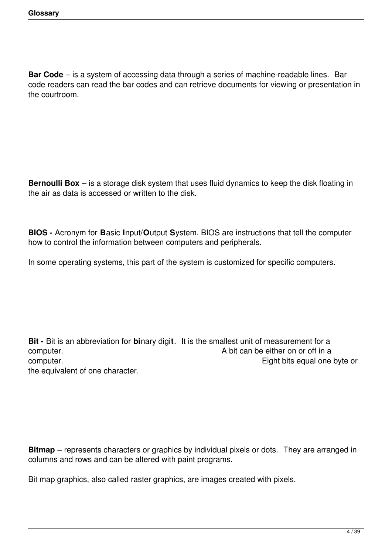**Bar Code** – is a system of accessing data through a series of machine-readable lines. Bar code readers can read the bar codes and can retrieve documents for viewing or presentation in the courtroom.

**Bernoulli Box** – is a storage disk system that uses fluid dynamics to keep the disk floating in the air as data is accessed or written to the disk.

**BIOS -** Acronym for **B**asic **I**nput/**O**utput **S**ystem. BIOS are instructions that tell the computer how to control the information between computers and peripherals.

In some operating systems, this part of the system is customized for specific computers.

**Bit -** Bit is an abbreviation for **bi**nary digi**t**. It is the smallest unit of measurement for a computer.  $\blacksquare$  computer. computer.  $\Box$  Eight bits equal one byte or the equivalent of one character.

**Bitmap** – represents characters or graphics by individual pixels or dots. They are arranged in columns and rows and can be altered with paint programs.

Bit map graphics, also called raster graphics, are images created with pixels.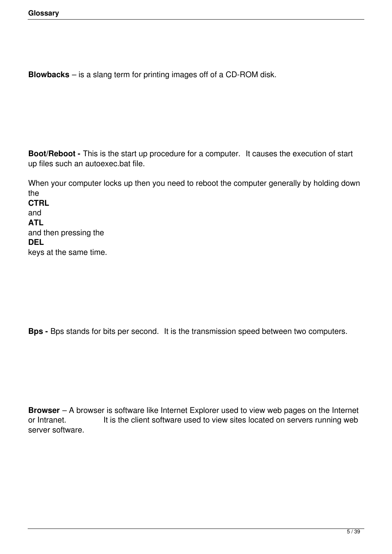**Blowbacks** – is a slang term for printing images off of a CD-ROM disk.

**Boot/Reboot -** This is the start up procedure for a computer. It causes the execution of start up files such an autoexec.bat file.

When your computer locks up then you need to reboot the computer generally by holding down the **CTRL**  and **ATL**  and then pressing the **DEL** keys at the same time.

**Bps -** Bps stands for bits per second. It is the transmission speed between two computers.

**Browser** – A browser is software like Internet Explorer used to view web pages on the Internet or Intranet. It is the client software used to view sites located on servers running web server software.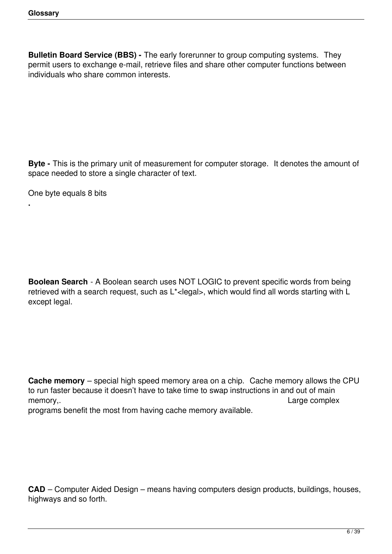**Bulletin Board Service (BBS) -** The early forerunner to group computing systems. They permit users to exchange e-mail, retrieve files and share other computer functions between individuals who share common interests.

**Byte -** This is the primary unit of measurement for computer storage. It denotes the amount of space needed to store a single character of text.

One byte equals 8 bits

**.**

**Boolean Search** - A Boolean search uses NOT LOGIC to prevent specific words from being retrieved with a search request, such as L<sup>\*</sup><legal>, which would find all words starting with L except legal.

**Cache memory** – special high speed memory area on a chip. Cache memory allows the CPU to run faster because it doesn't have to take time to swap instructions in and out of main memory, https://www.facebook.com/example.org/web/2012/intervalsed/complext/https://www.facebook.com/examplext/ programs benefit the most from having cache memory available.

**CAD** – Computer Aided Design – means having computers design products, buildings, houses, highways and so forth.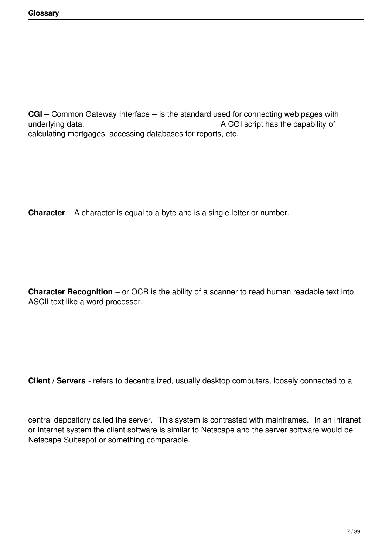**CGI –** Common Gateway Interface **–** is the standard used for connecting web pages with underlying data. The capability of the CGI script has the capability of calculating mortgages, accessing databases for reports, etc.

**Character** – A character is equal to a byte and is a single letter or number.

**Character Recognition** – or OCR is the ability of a scanner to read human readable text into ASCII text like a word processor.

**Client / Servers** - refers to decentralized, usually desktop computers, loosely connected to a

central depository called the server. This system is contrasted with mainframes. In an Intranet or Internet system the client software is similar to Netscape and the server software would be Netscape Suitespot or something comparable.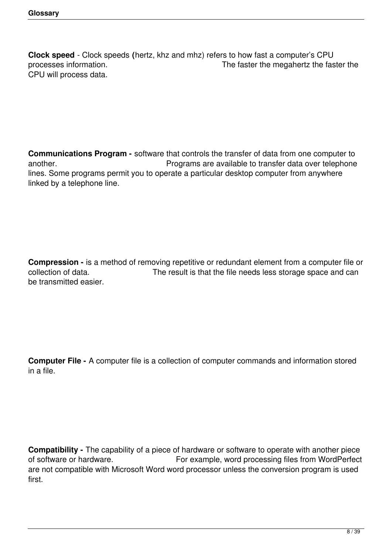**Clock speed** - Clock speeds **(**hertz, khz and mhz) refers to how fast a computer's CPU The faster the megahertz the faster the CPU will process data.

**Communications Program -** software that controls the transfer of data from one computer to another. *Programs are available to transfer data over telephone* lines. Some programs permit you to operate a particular desktop computer from anywhere linked by a telephone line.

**Compression -** is a method of removing repetitive or redundant element from a computer file or collection of data.<br>The result is that the file needs less storage space and can The result is that the file needs less storage space and can be transmitted easier.

**Computer File -** A computer file is a collection of computer commands and information stored in a file.

**Compatibility -** The capability of a piece of hardware or software to operate with another piece of software or hardware. For example, word processing files from WordPerfect are not compatible with Microsoft Word word processor unless the conversion program is used first.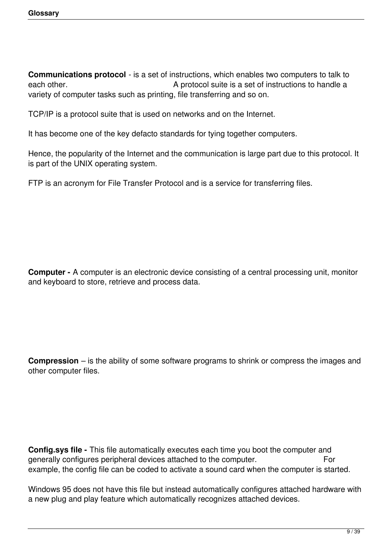**Communications protocol** - is a set of instructions, which enables two computers to talk to each other. **A** protocol suite is a set of instructions to handle a variety of computer tasks such as printing, file transferring and so on.

TCP/IP is a protocol suite that is used on networks and on the Internet.

It has become one of the key defacto standards for tying together computers.

Hence, the popularity of the Internet and the communication is large part due to this protocol. It is part of the UNIX operating system.

FTP is an acronym for File Transfer Protocol and is a service for transferring files.

**Computer -** A computer is an electronic device consisting of a central processing unit, monitor and keyboard to store, retrieve and process data.

**Compression** – is the ability of some software programs to shrink or compress the images and other computer files.

**Config.sys file -** This file automatically executes each time you boot the computer and generally configures peripheral devices attached to the computer. For example, the config file can be coded to activate a sound card when the computer is started.

Windows 95 does not have this file but instead automatically configures attached hardware with a new plug and play feature which automatically recognizes attached devices.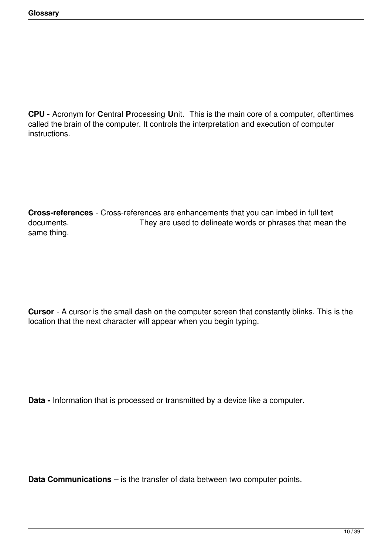**CPU -** Acronym for **C**entral **P**rocessing **U**nit. This is the main core of a computer, oftentimes called the brain of the computer. It controls the interpretation and execution of computer instructions.

**Cross-references** - Cross-references are enhancements that you can imbed in full text documents. They are used to delineate words or phrases that mean the same thing.

**Cursor** - A cursor is the small dash on the computer screen that constantly blinks. This is the location that the next character will appear when you begin typing.

**Data -** Information that is processed or transmitted by a device like a computer.

**Data Communications** – is the transfer of data between two computer points.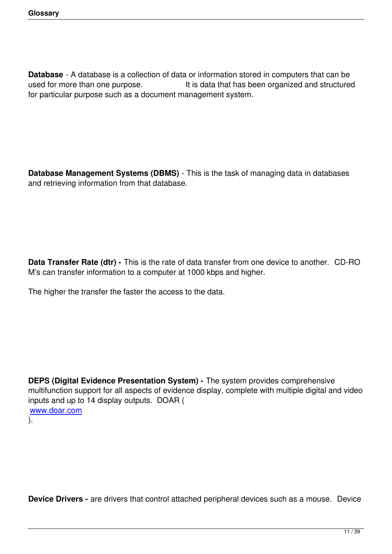**Database** - A database is a collection of data or information stored in computers that can be used for more than one purpose. It is data that has been organized and structured for particular purpose such as a document management system.

**Database Management Systems (DBMS)** - This is the task of managing data in databases and retrieving information from that database.

**Data Transfer Rate (dtr) -** This is the rate of data transfer from one device to another. CD-RO M's can transfer information to a computer at 1000 kbps and higher.

The higher the transfer the faster the access to the data.

**DEPS (Digital Evidence Presentation System) -** The system provides comprehensive multifunction support for all aspects of evidence display, complete with multiple digital and video inputs and up to 14 display outputs. DOAR ( www.doar.com ).

**Device Drivers -** are drivers that control attached peripheral devices such as a mouse. Device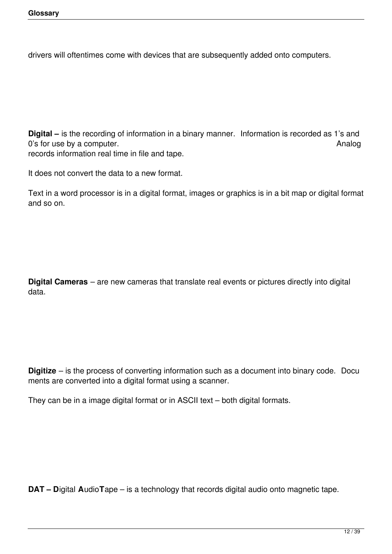drivers will oftentimes come with devices that are subsequently added onto computers.

**Digital –** is the recording of information in a binary manner. Information is recorded as 1's and 0's for use by a computer.  $\blacksquare$ records information real time in file and tape.

It does not convert the data to a new format.

Text in a word processor is in a digital format, images or graphics is in a bit map or digital format and so on.

**Digital Cameras** – are new cameras that translate real events or pictures directly into digital data.

**Digitize** – is the process of converting information such as a document into binary code. Docu ments are converted into a digital format using a scanner.

They can be in a image digital format or in ASCII text – both digital formats.

**DAT – D**igital **A**udio**T**ape – is a technology that records digital audio onto magnetic tape.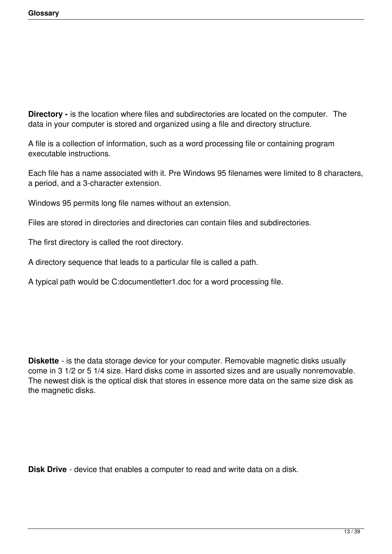**Directory -** is the location where files and subdirectories are located on the computer. The data in your computer is stored and organized using a file and directory structure.

A file is a collection of information, such as a word processing file or containing program executable instructions.

Each file has a name associated with it. Pre Windows 95 filenames were limited to 8 characters, a period, and a 3-character extension.

Windows 95 permits long file names without an extension.

Files are stored in directories and directories can contain files and subdirectories.

The first directory is called the root directory.

A directory sequence that leads to a particular file is called a path.

A typical path would be C:documentletter1.doc for a word processing file.

**Diskette** - is the data storage device for your computer. Removable magnetic disks usually come in 3 1/2 or 5 1/4 size. Hard disks come in assorted sizes and are usually nonremovable. The newest disk is the optical disk that stores in essence more data on the same size disk as the magnetic disks.

**Disk Drive** - device that enables a computer to read and write data on a disk.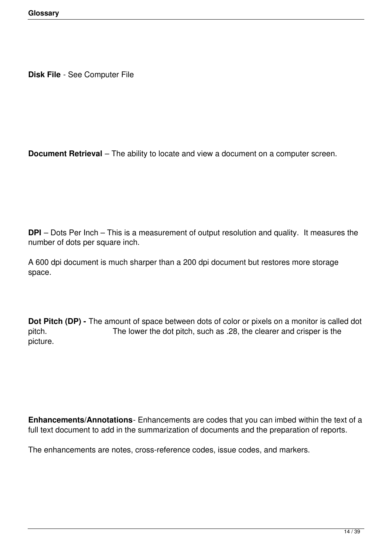**Disk File** - See Computer File

**Document Retrieval** – The ability to locate and view a document on a computer screen.

**DPI** – Dots Per Inch – This is a measurement of output resolution and quality. It measures the number of dots per square inch.

A 600 dpi document is much sharper than a 200 dpi document but restores more storage space.

**Dot Pitch (DP) -** The amount of space between dots of color or pixels on a monitor is called dot pitch. The lower the dot pitch, such as .28, the clearer and crisper is the picture.

**Enhancements/Annotations**- Enhancements are codes that you can imbed within the text of a full text document to add in the summarization of documents and the preparation of reports.

The enhancements are notes, cross-reference codes, issue codes, and markers.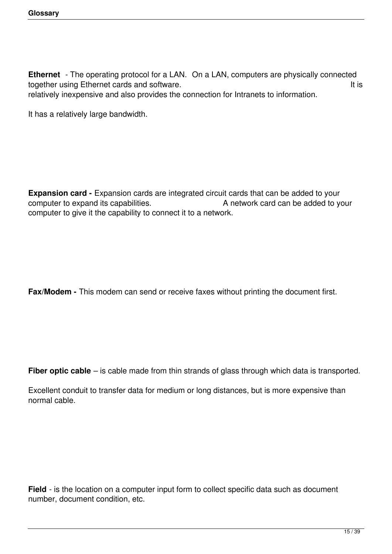**Ethernet** - The operating protocol for a LAN. On a LAN, computers are physically connected together using Ethernet cards and software. relatively inexpensive and also provides the connection for Intranets to information.

It has a relatively large bandwidth.

**Expansion card -** Expansion cards are integrated circuit cards that can be added to your computer to expand its capabilities.<br>A network card can be added to your A network card can be added to your computer to give it the capability to connect it to a network.

**Fax/Modem -** This modem can send or receive faxes without printing the document first.

**Fiber optic cable** – is cable made from thin strands of glass through which data is transported.

Excellent conduit to transfer data for medium or long distances, but is more expensive than normal cable.

**Field** - is the location on a computer input form to collect specific data such as document number, document condition, etc.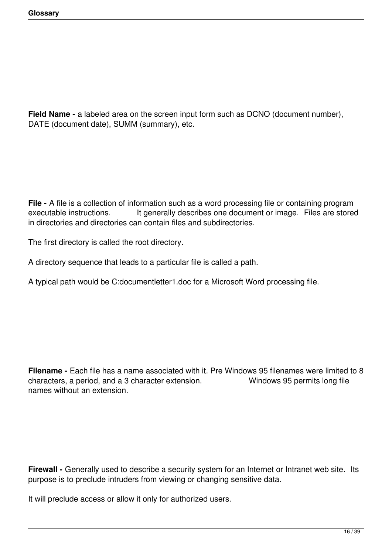**Field Name -** a labeled area on the screen input form such as DCNO (document number), DATE (document date), SUMM (summary), etc.

**File -** A file is a collection of information such as a word processing file or containing program executable instructions. It generally describes one document or image. Files are stored in directories and directories can contain files and subdirectories.

The first directory is called the root directory.

A directory sequence that leads to a particular file is called a path.

A typical path would be C:documentletter1.doc for a Microsoft Word processing file.

**Filename -** Each file has a name associated with it. Pre Windows 95 filenames were limited to 8 characters, a period, and a 3 character extension. Windows 95 permits long file names without an extension.

**Firewall -** Generally used to describe a security system for an Internet or Intranet web site. Its purpose is to preclude intruders from viewing or changing sensitive data.

It will preclude access or allow it only for authorized users.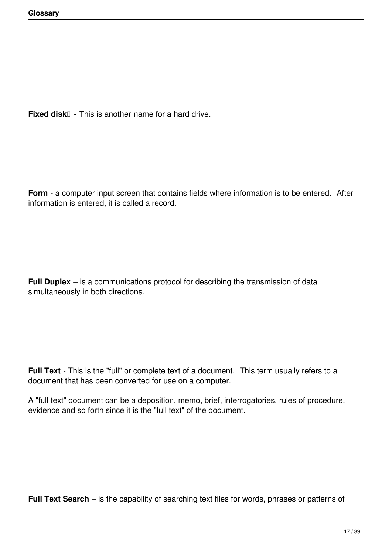**Fixed disk**  $\Box$  - This is another name for a hard drive.

**Form** - a computer input screen that contains fields where information is to be entered. After information is entered, it is called a record.

**Full Duplex** – is a communications protocol for describing the transmission of data simultaneously in both directions.

**Full Text** - This is the "full" or complete text of a document. This term usually refers to a document that has been converted for use on a computer.

A "full text" document can be a deposition, memo, brief, interrogatories, rules of procedure, evidence and so forth since it is the "full text" of the document.

**Full Text Search** – is the capability of searching text files for words, phrases or patterns of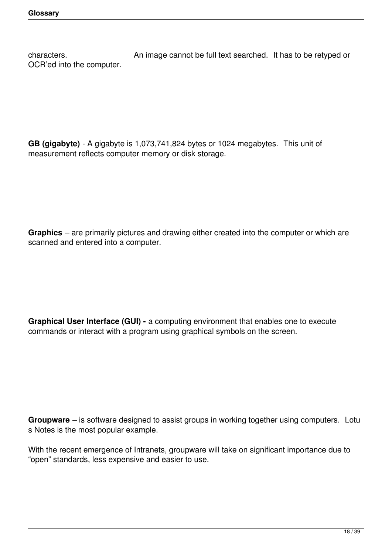characters. **Characters.** An image cannot be full text searched. It has to be retyped or OCR'ed into the computer.

**GB (gigabyte)** - A gigabyte is 1,073,741,824 bytes or 1024 megabytes. This unit of measurement reflects computer memory or disk storage.

**Graphics** – are primarily pictures and drawing either created into the computer or which are scanned and entered into a computer.

**Graphical User Interface (GUI) -** a computing environment that enables one to execute commands or interact with a program using graphical symbols on the screen.

**Groupware** – is software designed to assist groups in working together using computers. Lotu s Notes is the most popular example.

With the recent emergence of Intranets, groupware will take on significant importance due to "open" standards, less expensive and easier to use.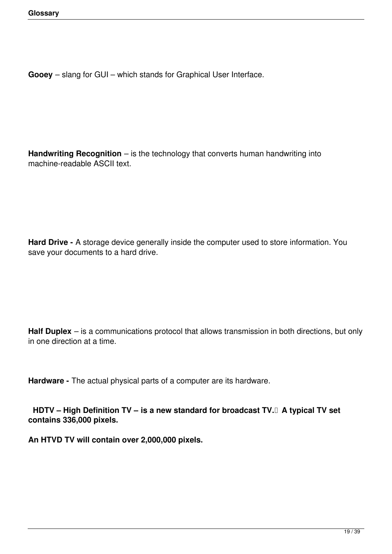**Gooey** – slang for GUI – which stands for Graphical User Interface.

**Handwriting Recognition** – is the technology that converts human handwriting into machine-readable ASCII text.

**Hard Drive -** A storage device generally inside the computer used to store information. You save your documents to a hard drive.

**Half Duplex** – is a communications protocol that allows transmission in both directions, but only in one direction at a time.

**Hardware -** The actual physical parts of a computer are its hardware.

 **HDTV – High Definition TV – is a new standard for broadcast TV. A typical TV set contains 336,000 pixels.**

**An HTVD TV will contain over 2,000,000 pixels.**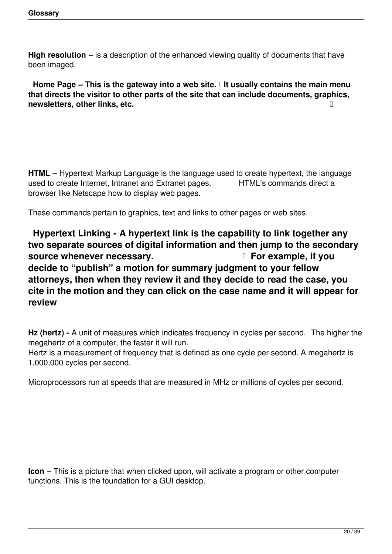**High resolution** – is a description of the enhanced viewing quality of documents that have been imaged.

 **Home Page – This is the gateway into a web site. It usually contains the main menu that directs the visitor to other parts of the site that can include documents, graphics, newsletters, other links, etc. <b>a** *newsletters other links, etc. <i>decay* 

**HTML** – Hypertext Markup Language is the language used to create hypertext, the language used to create Internet. Intranet and Extranet pages. HTML's commands direct a used to create Internet, Intranet and Extranet pages. browser like Netscape how to display web pages.

These commands pertain to graphics, text and links to other pages or web sites.

 **Hypertext Linking - A hypertext link is the capability to link together any two separate sources of digital information and then jump to the secondary source whenever necessary. If source whenever necessary.** If  $\Box$  For example, if you **decide to "publish" a motion for summary judgment to your fellow attorneys, then when they review it and they decide to read the case, you cite in the motion and they can click on the case name and it will appear for review**

**Hz (hertz) -** A unit of measures which indicates frequency in cycles per second. The higher the megahertz of a computer, the faster it will run.

Hertz is a measurement of frequency that is defined as one cycle per second. A megahertz is 1,000,000 cycles per second.

Microprocessors run at speeds that are measured in MHz or millions of cycles per second.

**Icon** – This is a picture that when clicked upon, will activate a program or other computer functions. This is the foundation for a GUI desktop.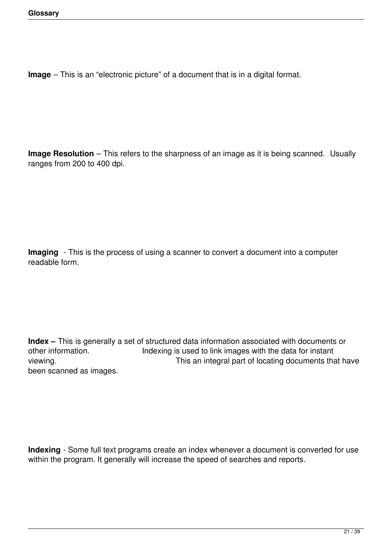**Image** – This is an "electronic picture" of a document that is in a digital format.

**Image Resolution** – This refers to the sharpness of an image as it is being scanned. Usually ranges from 200 to 400 dpi.

**Imaging** - This is the process of using a scanner to convert a document into a computer readable form.

**Index** – This is generally a set of structured data information associated with documents or other information. Indexing is used to link images with the data for instant Indexing is used to link images with the data for instant viewing. **This an integral part of locating documents that have** been scanned as images.

**Indexing** - Some full text programs create an index whenever a document is converted for use within the program. It generally will increase the speed of searches and reports.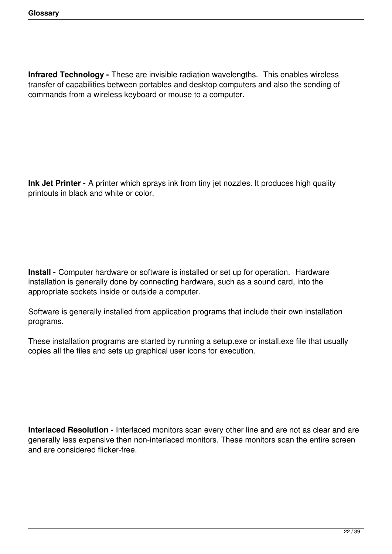**Infrared Technology -** These are invisible radiation wavelengths. This enables wireless transfer of capabilities between portables and desktop computers and also the sending of commands from a wireless keyboard or mouse to a computer.

**Ink Jet Printer -** A printer which sprays ink from tiny jet nozzles. It produces high quality printouts in black and white or color.

**Install -** Computer hardware or software is installed or set up for operation. Hardware installation is generally done by connecting hardware, such as a sound card, into the appropriate sockets inside or outside a computer.

Software is generally installed from application programs that include their own installation programs.

These installation programs are started by running a setup.exe or install.exe file that usually copies all the files and sets up graphical user icons for execution.

**Interlaced Resolution -** Interlaced monitors scan every other line and are not as clear and are generally less expensive then non-interlaced monitors. These monitors scan the entire screen and are considered flicker-free.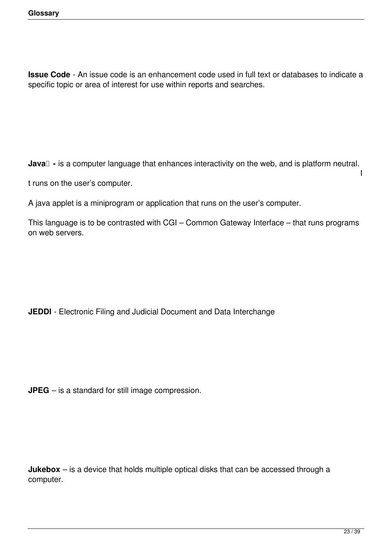**Issue Code** - An issue code is an enhancement code used in full text or databases to indicate a specific topic or area of interest for use within reports and searches.

**Java**  $\Box$  - is a computer language that enhances interactivity on the web, and is platform neutral.

t runs on the user's computer.

A java applet is a miniprogram or application that runs on the user's computer.

This language is to be contrasted with CGI – Common Gateway Interface – that runs programs on web servers.

**JEDDI** - Electronic Filing and Judicial Document and Data Interchange

**JPEG** – is a standard for still image compression.

**Jukebox** – is a device that holds multiple optical disks that can be accessed through a computer.

I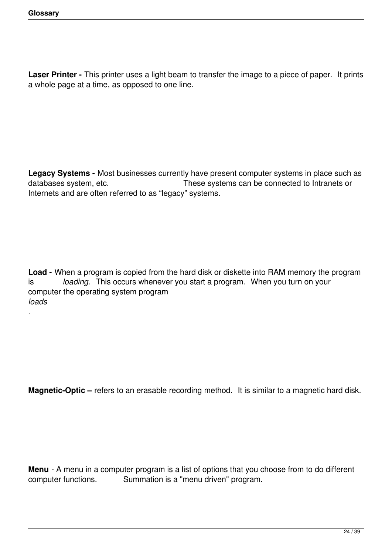.

Laser Printer - This printer uses a light beam to transfer the image to a piece of paper. It prints a whole page at a time, as opposed to one line.

**Legacy Systems -** Most businesses currently have present computer systems in place such as databases system, etc. These systems can be connected to Intranets or These systems can be connected to Intranets or Internets and are often referred to as "legacy" systems.

**Load -** When a program is copied from the hard disk or diskette into RAM memory the program is *loading*. This occurs whenever you start a program. When you turn on your computer the operating system program *loads*

**Magnetic-Optic –** refers to an erasable recording method. It is similar to a magnetic hard disk.

**Menu** - A menu in a computer program is a list of options that you choose from to do different computer functions. Summation is a "menu driven" program. Summation is a "menu driven" program.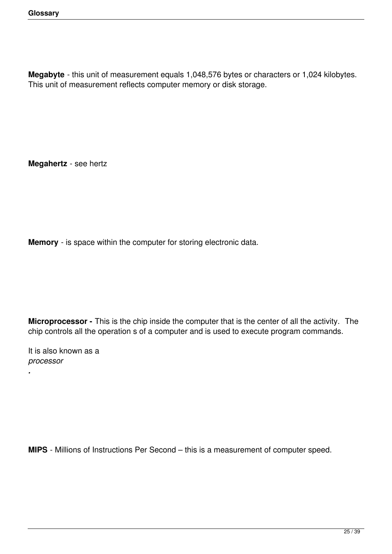**Megabyte** - this unit of measurement equals 1,048,576 bytes or characters or 1,024 kilobytes. This unit of measurement reflects computer memory or disk storage.

**Megahertz** - see hertz

**Memory** - is space within the computer for storing electronic data.

**Microprocessor -** This is the chip inside the computer that is the center of all the activity. The chip controls all the operation s of a computer and is used to execute program commands.

It is also known as a *processor*

*.*

**MIPS** - Millions of Instructions Per Second – this is a measurement of computer speed.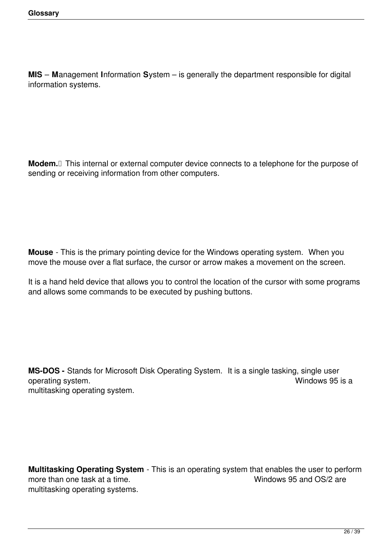**MIS** – **M**anagement **I**nformation **S**ystem – is generally the department responsible for digital information systems.

**Modem.** This internal or external computer device connects to a telephone for the purpose of sending or receiving information from other computers.

**Mouse** - This is the primary pointing device for the Windows operating system. When you move the mouse over a flat surface, the cursor or arrow makes a movement on the screen.

It is a hand held device that allows you to control the location of the cursor with some programs and allows some commands to be executed by pushing buttons.

**MS-DOS** - Stands for Microsoft Disk Operating System. It is a single tasking, single user operating system. operating system. multitasking operating system.

**Multitasking Operating System** - This is an operating system that enables the user to perform more than one task at a time. multitasking operating systems.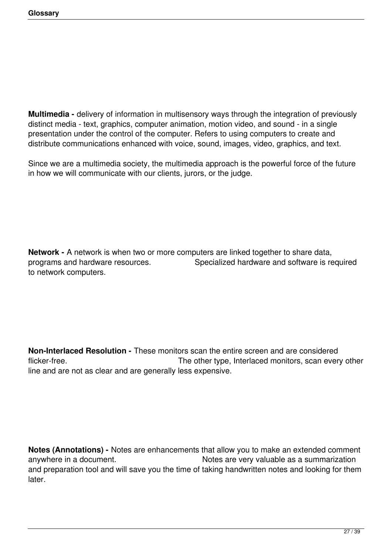**Multimedia -** delivery of information in multisensory ways through the integration of previously distinct media - text, graphics, computer animation, motion video, and sound - in a single presentation under the control of the computer. Refers to using computers to create and distribute communications enhanced with voice, sound, images, video, graphics, and text.

Since we are a multimedia society, the multimedia approach is the powerful force of the future in how we will communicate with our clients, jurors, or the judge.

**Network -** A network is when two or more computers are linked together to share data, programs and hardware resources. Specialized hardware and software is required to network computers.

**Non-Interlaced Resolution -** These monitors scan the entire screen and are considered flicker-free. The other type, Interlaced monitors, scan every other structure of the monitors, scan every other line and are not as clear and are generally less expensive.

**Notes (Annotations) -** Notes are enhancements that allow you to make an extended comment anywhere in a document. The same of the Notes are very valuable as a summarization and preparation tool and will save you the time of taking handwritten notes and looking for them later.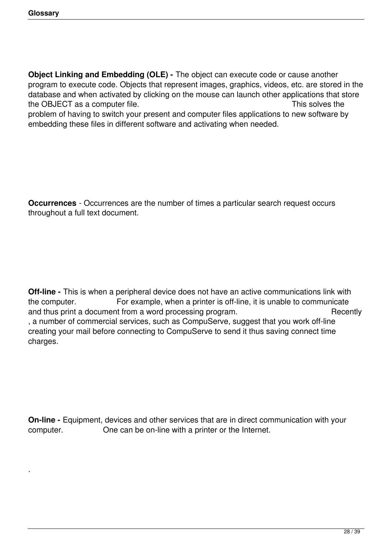.

**Object Linking and Embedding (OLE) -** The object can execute code or cause another program to execute code. Objects that represent images, graphics, videos, etc. are stored in the database and when activated by clicking on the mouse can launch other applications that store the OBJECT as a computer file. This solves the This solves the

problem of having to switch your present and computer files applications to new software by embedding these files in different software and activating when needed.

**Occurrences** - Occurrences are the number of times a particular search request occurs throughout a full text document.

**Off-line -** This is when a peripheral device does not have an active communications link with the computer. For example, when a printer is off-line, it is unable to communicate and thus print a document from a word processing program. These is a section of the Recently , a number of commercial services, such as CompuServe, suggest that you work off-line creating your mail before connecting to CompuServe to send it thus saving connect time charges.

**On-line -** Equipment, devices and other services that are in direct communication with your computer. One can be on-line with a printer or the Internet.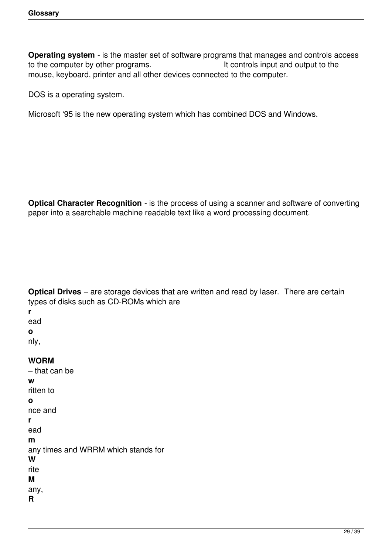**Operating system** - is the master set of software programs that manages and controls access to the computer by other programs. It controls input and output to the mouse, keyboard, printer and all other devices connected to the computer.

DOS is a operating system.

Microsoft '95 is the new operating system which has combined DOS and Windows.

**Optical Character Recognition** - is the process of using a scanner and software of converting paper into a searchable machine readable text like a word processing document.

**Optical Drives** – are storage devices that are written and read by laser. There are certain types of disks such as CD-ROMs which are

**r** ead

**o**

nly,

**WORM** – that can be **w** ritten to **o** nce and **r** ead **m** any times and WRRM which stands for **W** rite **M** any, **R**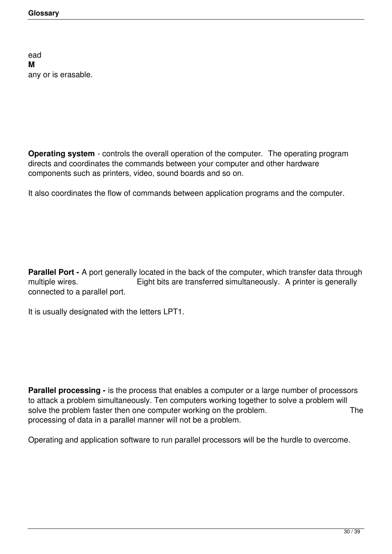ead **M** any or is erasable.

**Operating system** - controls the overall operation of the computer. The operating program directs and coordinates the commands between your computer and other hardware components such as printers, video, sound boards and so on.

It also coordinates the flow of commands between application programs and the computer.

**Parallel Port -** A port generally located in the back of the computer, which transfer data through multiple wires. **Eight bits are transferred simultaneously.** A printer is generally connected to a parallel port.

It is usually designated with the letters LPT1.

**Parallel processing -** is the process that enables a computer or a large number of processors to attack a problem simultaneously. Ten computers working together to solve a problem will solve the problem faster then one computer working on the problem. The processing of data in a parallel manner will not be a problem.

Operating and application software to run parallel processors will be the hurdle to overcome.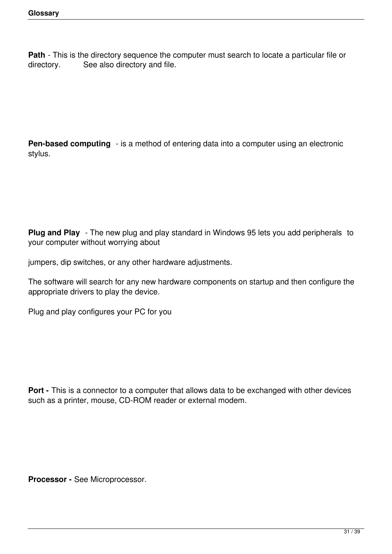**Path** - This is the directory sequence the computer must search to locate a particular file or directory. See also directory and file.

**Pen-based computing** - is a method of entering data into a computer using an electronic stylus.

**Plug and Play** - The new plug and play standard in Windows 95 lets you add peripherals to your computer without worrying about

jumpers, dip switches, or any other hardware adjustments.

The software will search for any new hardware components on startup and then configure the appropriate drivers to play the device.

Plug and play configures your PC for you

**Port -** This is a connector to a computer that allows data to be exchanged with other devices such as a printer, mouse, CD-ROM reader or external modem.

**Processor -** See Microprocessor.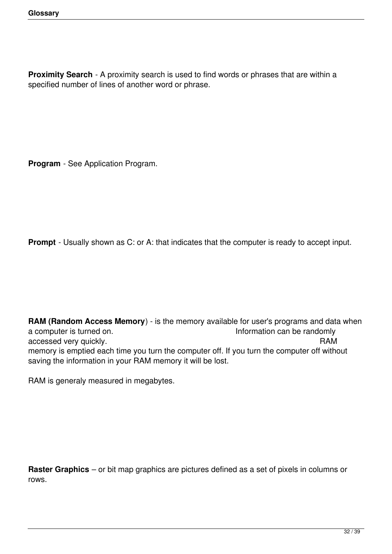**Proximity Search** - A proximity search is used to find words or phrases that are within a specified number of lines of another word or phrase.

**Program** - See Application Program.

**Prompt** - Usually shown as C: or A: that indicates that the computer is ready to accept input.

**RAM (Random Access Memory**) - is the memory available for user's programs and data when a computer is turned on. Information can be randomly accessed very quickly. The contract of the contract of the contract of the contract of the contract of the contract of the contract of the contract of the contract of the contract of the contract of the contract of the con memory is emptied each time you turn the computer off. If you turn the computer off without saving the information in your RAM memory it will be lost.

RAM is generaly measured in megabytes.

**Raster Graphics** – or bit map graphics are pictures defined as a set of pixels in columns or rows.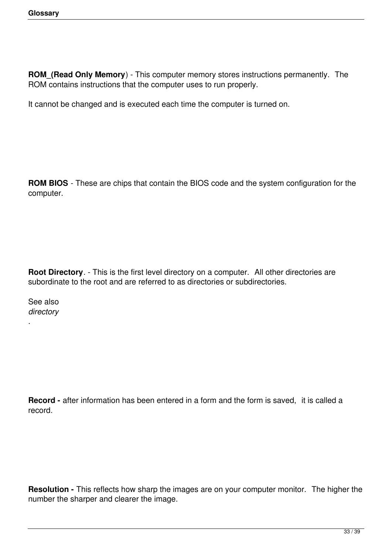**ROM\_(Read Only Memory**) - This computer memory stores instructions permanently. The ROM contains instructions that the computer uses to run properly.

It cannot be changed and is executed each time the computer is turned on.

**ROM BIOS** - These are chips that contain the BIOS code and the system configuration for the computer.

**Root Directory**. - This is the first level directory on a computer. All other directories are subordinate to the root and are referred to as directories or subdirectories.

See also *directory*

.

**Record -** after information has been entered in a form and the form is saved, it is called a record.

**Resolution -** This reflects how sharp the images are on your computer monitor. The higher the number the sharper and clearer the image.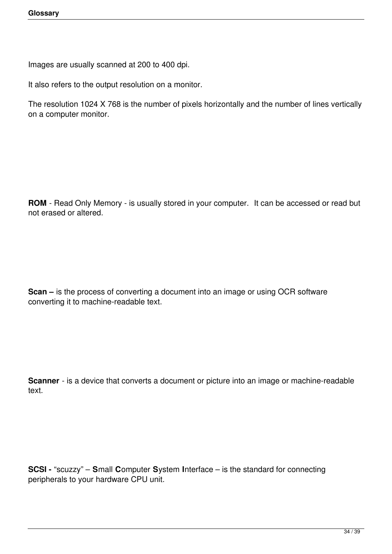Images are usually scanned at 200 to 400 dpi.

It also refers to the output resolution on a monitor.

The resolution 1024 X 768 is the number of pixels horizontally and the number of lines vertically on a computer monitor.

**ROM** - Read Only Memory - is usually stored in your computer. It can be accessed or read but not erased or altered.

**Scan –** is the process of converting a document into an image or using OCR software converting it to machine-readable text.

**Scanner** - is a device that converts a document or picture into an image or machine-readable text.

**SCSI -** "scuzzy" – **S**mall **C**omputer **S**ystem **I**nterface – is the standard for connecting peripherals to your hardware CPU unit.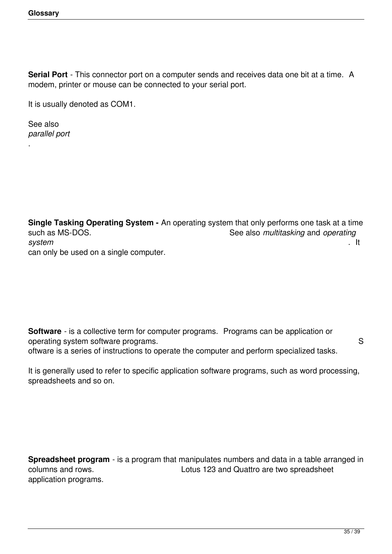**Serial Port** - This connector port on a computer sends and receives data one bit at a time. A modem, printer or mouse can be connected to your serial port.

It is usually denoted as COM1.

See also *parallel port*

.

**Single Tasking Operating System -** An operating system that only performs one task at a time such as MS-DOS. See also *multitasking* and *operating*<br>a system *system* . It can only be used on a single computer.

**Software** - is a collective term for computer programs. Programs can be application or operating system software programs. Solution with the system software programs. oftware is a series of instructions to operate the computer and perform specialized tasks.

It is generally used to refer to specific application software programs, such as word processing, spreadsheets and so on.

**Spreadsheet program** - is a program that manipulates numbers and data in a table arranged in columns and rows. Lotus 123 and Quattro are two spreadsheet application programs.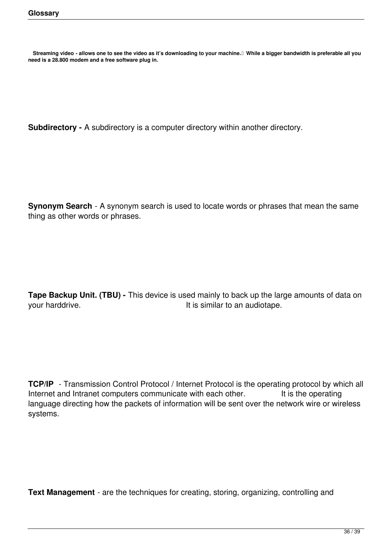**need is a 28.800 modem and a free software plug in.** Streaming video - allows one to see the video as it's downloading to your machine.<sup>[]</sup> While a bigger bandwidth is preferable all you

**Subdirectory -** A subdirectory is a computer directory within another directory.

**Synonym Search** - A synonym search is used to locate words or phrases that mean the same thing as other words or phrases.

**Tape Backup Unit. (TBU) -** This device is used mainly to back up the large amounts of data on your harddrive.  $\qquad \qquad$  It is similar to an audiotape.

**TCP/IP** - Transmission Control Protocol / Internet Protocol is the operating protocol by which all Internet and Intranet computers communicate with each other. It is the operating language directing how the packets of information will be sent over the network wire or wireless systems.

**Text Management** - are the techniques for creating, storing, organizing, controlling and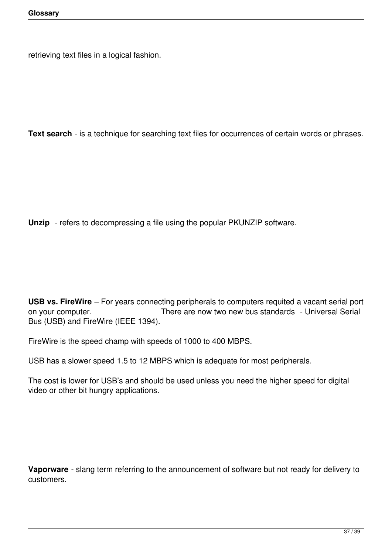retrieving text files in a logical fashion.

**Text search** - is a technique for searching text files for occurrences of certain words or phrases.

**Unzip** - refers to decompressing a file using the popular PKUNZIP software.

**USB vs. FireWire** – For years connecting peripherals to computers requited a vacant serial port on your computer. There are now two new bus standards - Universal Serial Bus (USB) and FireWire (IEEE 1394).

FireWire is the speed champ with speeds of 1000 to 400 MBPS.

USB has a slower speed 1.5 to 12 MBPS which is adequate for most peripherals.

The cost is lower for USB's and should be used unless you need the higher speed for digital video or other bit hungry applications.

**Vaporware** - slang term referring to the announcement of software but not ready for delivery to customers.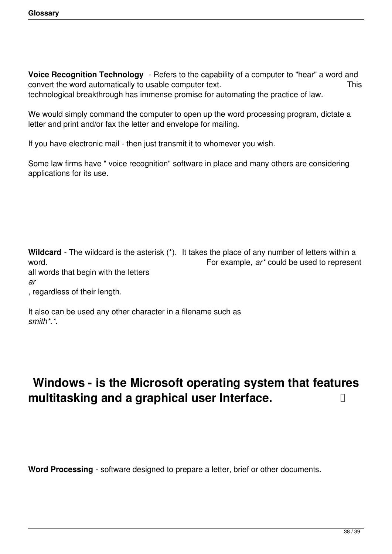**Voice Recognition Technology** - Refers to the capability of a computer to "hear" a word and convert the word automatically to usable computer text. This technological breakthrough has immense promise for automating the practice of law.

We would simply command the computer to open up the word processing program, dictate a letter and print and/or fax the letter and envelope for mailing.

If you have electronic mail - then just transmit it to whomever you wish.

Some law firms have " voice recognition" software in place and many others are considering applications for its use.

**Wildcard** - The wildcard is the asterisk (\*). It takes the place of any number of letters within a word. For example, *ar\** could be used to represent all words that begin with the letters *ar*

, regardless of their length.

It also can be used any other character in a filename such as *smith\*.\*.*

## **Windows - is the Microsoft operating system that features multitasking and a graphical user Interface.**

**Word Processing** - software designed to prepare a letter, brief or other documents.